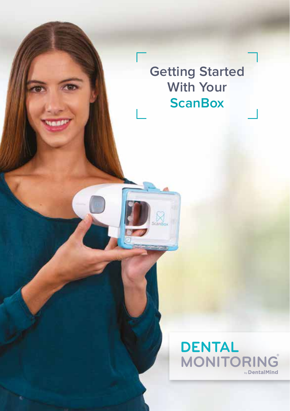**Getting Started With Your ScanBox**

cană

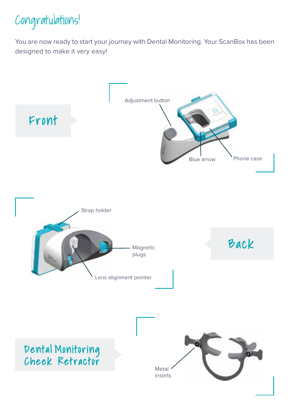

You are now ready to start your journey with Dental Monitoring. Your ScanBox has been designed to make it very easy!

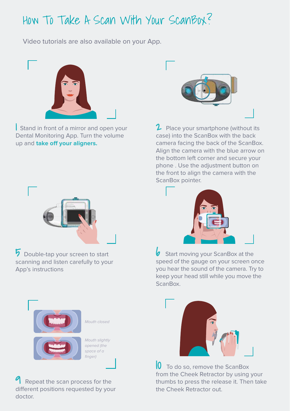# How To Take A Scan With Your ScanBox?

Video tutorials are also available on your App.



**Stand in front of a mirror and open your** Dental Monitoring App. Turn the volume up and **take o! your aligners.**



5 Double-tap your screen to start scanning and listen carefully to your App's instructions



Repeat the scan process for the different positions requested by your doctor.



 $2$  Place your smartphone (without its case) into the ScanBox with the back camera facing the back of the ScanBox. Align the camera with the blue arrow on the bottom left corner and secure your phone . Use the adjustment button on the front to align the camera with the ScanBox pointer.



 $\bullet$  Start moving your ScanBox at the speed of the gauge on your screen once you hear the sound of the camera. Try to keep your head still while you move the ScanBox.



10 To do so, remove the ScanBox from the Cheek Retractor by using your thumbs to press the release it. Then take the Cheek Retractor out.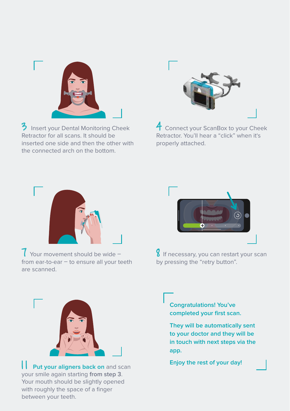

3 Insert your Dental Monitoring Cheek Retractor for all scans. It should be inserted one side and then the other with the connected arch on the bottom.



4 Connect your ScanBox to your Cheek Retractor. You'll hear a "click" when it's properly attached.



7 Your movement should be wide – from ear-to-ear – to ensure all your teeth are scanned.



**8** If necessary, you can restart your scan by pressing the "retry button".



**Put your aligners back on** and scan your smile again starting **from step 3**. Your mouth should be slightly opened with roughly the space of a finger between your teeth.

**Congratulations! You've completed your first scan.** 

**They will be automatically sent to your doctor and they will be in touch with next steps via the app.**

**Enjoy the rest of your day!**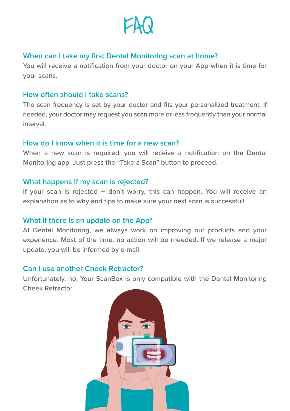

# **When can I take my first Dental Monitoring scan at home?**

You will receive a notification from your doctor on your App when it is time for your scans.

#### **How often should I take scans?**

The scan frequency is set by your doctor and fits your personalized treatment. If needed, your doctor may request you scan more or less frequently than your normal interval.

#### **How do I know when it is time for a new scan?**

When a new scan is required, you will receive a notification on the Dental Monitoring app. Just press the "Take a Scan" button to proceed.

#### **What happens if my scan is rejected?**

If your scan is rejected – don't worry, this can happen. You will receive an explanation as to why and tips to make sure your next scan is successful!

## **What if there is an update on the App?**

At Dental Monitoring, we always work on improving our products and your experience. Most of the time, no action will be rneeded. If we release a major update, you will be informed by e-mail.

## **Can I use another Cheek Retractor?**

Unfortunately, no. Your ScanBox is only compatible with the Dental Monitoring Cheek Retractor.